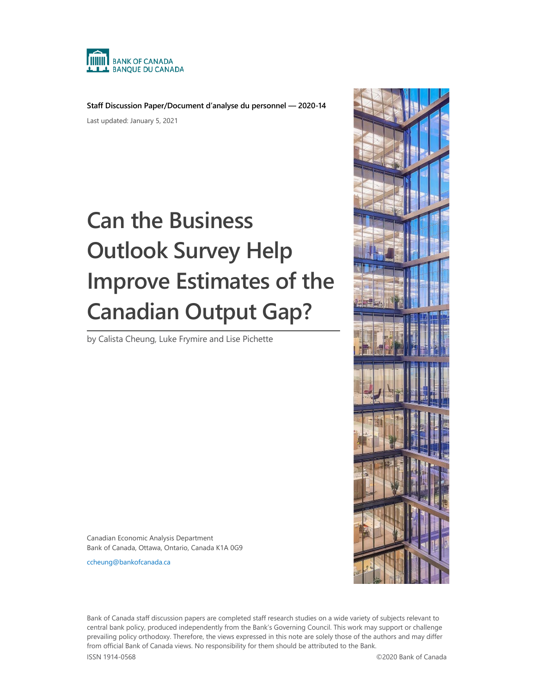

**Staff Discussion Paper/Document d'analyse du personnel — 2020-14** Last updated: January 5, 2021

# **Can the Business Outlook Survey Help Improve Estimates of the Canadian Output Gap?**

by Calista Cheung, Luke Frymire and Lise Pichette



Canadian Economic Analysis Department Bank of Canada, Ottawa, Ontario, Canada K1A 0G9

[ccheung@bankofcanada.ca](mailto:ccheung@bankofcanada.ca)

Bank of Canada staff discussion papers are completed staff research studies on a wide variety of subjects relevant to central bank policy, produced independently from the Bank's Governing Council. This work may support or challenge prevailing policy orthodoxy. Therefore, the views expressed in this note are solely those of the authors and may differ from official Bank of Canada views. No responsibility for them should be attributed to the Bank.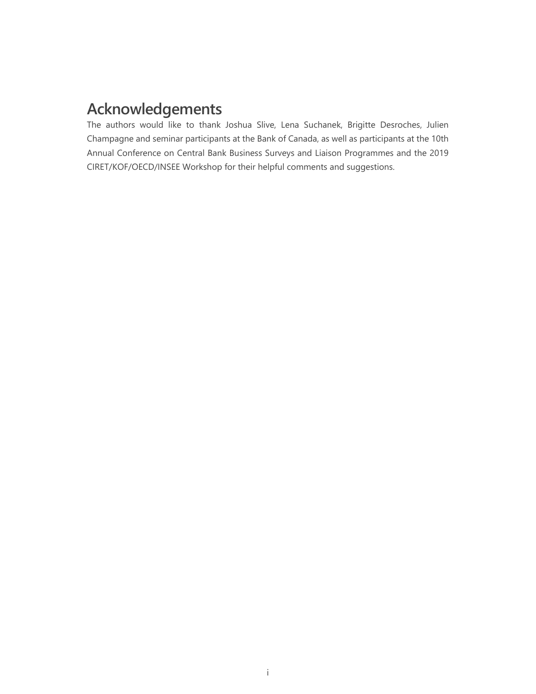# **Acknowledgements**

The authors would like to thank Joshua Slive, Lena Suchanek, Brigitte Desroches, Julien Champagne and seminar participants at the Bank of Canada, as well as participants at the 10th Annual Conference on Central Bank Business Surveys and Liaison Programmes and the 2019 CIRET/KOF/OECD/INSEE Workshop for their helpful comments and suggestions.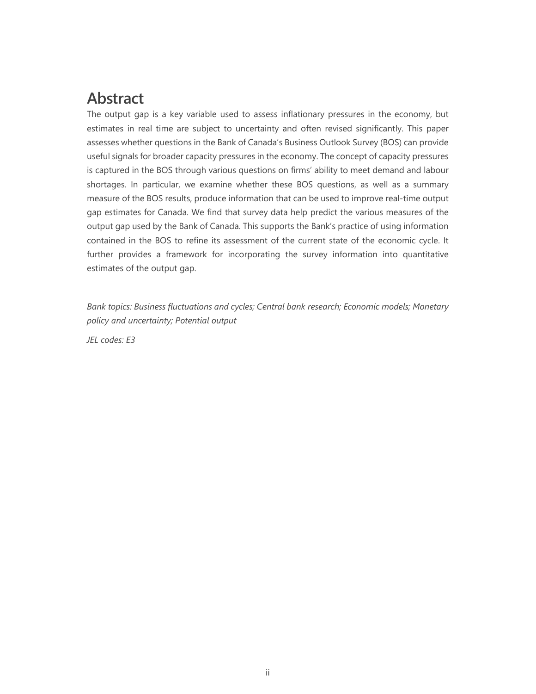# **Abstract**

The output gap is a key variable used to assess inflationary pressures in the economy, but estimates in real time are subject to uncertainty and often revised significantly. This paper assesses whether questions in the Bank of Canada's Business Outlook Survey (BOS) can provide useful signals for broader capacity pressures in the economy. The concept of capacity pressures is captured in the BOS through various questions on firms' ability to meet demand and labour shortages. In particular, we examine whether these BOS questions, as well as a summary measure of the BOS results, produce information that can be used to improve real-time output gap estimates for Canada. We find that survey data help predict the various measures of the output gap used by the Bank of Canada. This supports the Bank's practice of using information contained in the BOS to refine its assessment of the current state of the economic cycle. It further provides a framework for incorporating the survey information into quantitative estimates of the output gap.

*Bank topics: Business fluctuations and cycles; Central bank research; Economic models; Monetary policy and uncertainty; Potential output*

*JEL codes: E3*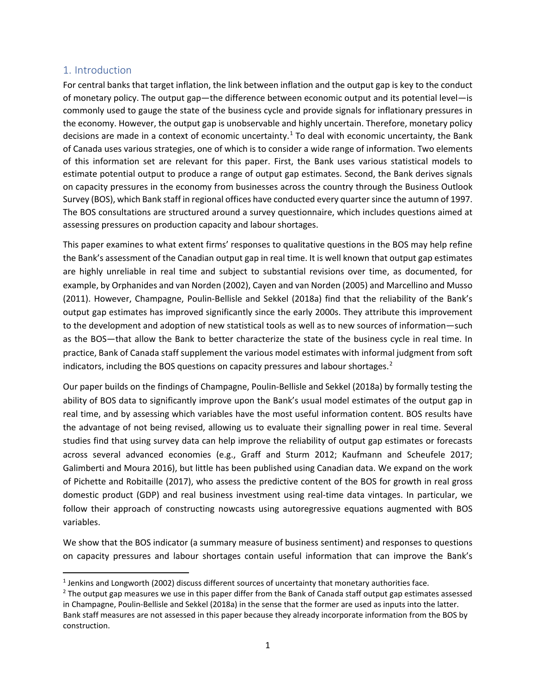## 1. Introduction

For central banks that target inflation, the link between inflation and the output gap is key to the conduct of monetary policy. The output gap—the difference between economic output and its potential level—is commonly used to gauge the state of the business cycle and provide signals for inflationary pressures in the economy. However, the output gap is unobservable and highly uncertain. Therefore, monetary policy decisions are made in a context of economic uncertainty.<sup>[1](#page-3-0)</sup> To deal with economic uncertainty, the Bank of Canada uses various strategies, one of which is to consider a wide range of information. Two elements of this information set are relevant for this paper. First, the Bank uses various statistical models to estimate potential output to produce a range of output gap estimates. Second, the Bank derives signals on capacity pressures in the economy from businesses across the country through the Business Outlook Survey (BOS), which Bank staff in regional offices have conducted every quarter since the autumn of 1997. The BOS consultations are structured around a survey questionnaire, which includes questions aimed at assessing pressures on production capacity and labour shortages.

This paper examines to what extent firms' responses to qualitative questions in the BOS may help refine the Bank's assessment of the Canadian output gap in real time. It is well known that output gap estimates are highly unreliable in real time and subject to substantial revisions over time, as documented, for example, by Orphanides and van Norden (2002), Cayen and van Norden (2005) and Marcellino and Musso (2011). However, Champagne, Poulin-Bellisle and Sekkel (2018a) find that the reliability of the Bank's output gap estimates has improved significantly since the early 2000s. They attribute this improvement to the development and adoption of new statistical tools as well as to new sources of information—such as the BOS—that allow the Bank to better characterize the state of the business cycle in real time. In practice, Bank of Canada staff supplement the various model estimates with informal judgment from soft indicators, including the BOS questions on capacity pressures and labour shortages.<sup>[2](#page-3-1)</sup>

Our paper builds on the findings of Champagne, Poulin-Bellisle and Sekkel (2018a) by formally testing the ability of BOS data to significantly improve upon the Bank's usual model estimates of the output gap in real time, and by assessing which variables have the most useful information content. BOS results have the advantage of not being revised, allowing us to evaluate their signalling power in real time. Several studies find that using survey data can help improve the reliability of output gap estimates or forecasts across several advanced economies (e.g., Graff and Sturm 2012; Kaufmann and Scheufele 2017; Galimberti and Moura 2016), but little has been published using Canadian data. We expand on the work of Pichette and Robitaille (2017), who assess the predictive content of the BOS for growth in real gross domestic product (GDP) and real business investment using real-time data vintages. In particular, we follow their approach of constructing nowcasts using autoregressive equations augmented with BOS variables.

We show that the BOS indicator (a summary measure of business sentiment) and responses to questions on capacity pressures and labour shortages contain useful information that can improve the Bank's

<span id="page-3-0"></span><sup>&</sup>lt;sup>1</sup> Jenkins and Longworth (2002) discuss different sources of uncertainty that monetary authorities face.

<span id="page-3-1"></span><sup>&</sup>lt;sup>2</sup> The output gap measures we use in this paper differ from the Bank of Canada staff output gap estimates assessed in Champagne, Poulin-Bellisle and Sekkel (2018a) in the sense that the former are used as inputs into the latter. Bank staff measures are not assessed in this paper because they already incorporate information from the BOS by construction.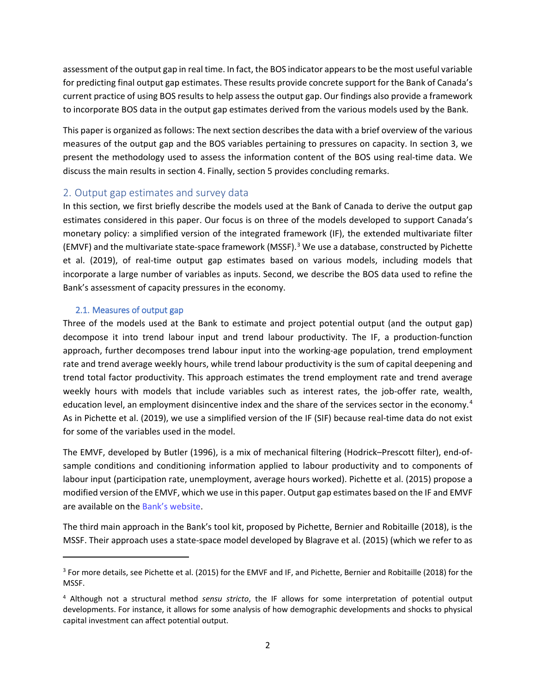assessment of the output gap in real time. In fact, the BOS indicator appears to be the most useful variable for predicting final output gap estimates. These results provide concrete support for the Bank of Canada's current practice of using BOS results to help assess the output gap. Our findings also provide a framework to incorporate BOS data in the output gap estimates derived from the various models used by the Bank.

This paper is organized as follows: The next section describes the data with a brief overview of the various measures of the output gap and the BOS variables pertaining to pressures on capacity. In section 3, we present the methodology used to assess the information content of the BOS using real-time data. We discuss the main results in section 4. Finally, section 5 provides concluding remarks.

## 2. Output gap estimates and survey data

In this section, we first briefly describe the models used at the Bank of Canada to derive the output gap estimates considered in this paper. Our focus is on three of the models developed to support Canada's monetary policy: a simplified version of the integrated framework (IF), the extended multivariate filter (EMVF) and the multivariate state-space framework (MSSF).[3](#page-4-0) We use a database, constructed by Pichette et al. (2019), of real-time output gap estimates based on various models, including models that incorporate a large number of variables as inputs. Second, we describe the BOS data used to refine the Bank's assessment of capacity pressures in the economy.

#### 2.1. Measures of output gap

l

Three of the models used at the Bank to estimate and project potential output (and the output gap) decompose it into trend labour input and trend labour productivity. The IF, a production-function approach, further decomposes trend labour input into the working-age population, trend employment rate and trend average weekly hours, while trend labour productivity is the sum of capital deepening and trend total factor productivity. This approach estimates the trend employment rate and trend average weekly hours with models that include variables such as interest rates, the job-offer rate, wealth, education level, an employment disincentive index and the share of the services sector in the economy.<sup>[4](#page-4-1)</sup> As in Pichette et al. (2019), we use a simplified version of the IF (SIF) because real-time data do not exist for some of the variables used in the model.

The EMVF, developed by Butler (1996), is a mix of mechanical filtering (Hodrick–Prescott filter), end-ofsample conditions and conditioning information applied to labour productivity and to components of labour input (participation rate, unemployment, average hours worked). Pichette et al. (2015) propose a modified version of the EMVF, which we use in this paper. Output gap estimates based on the IF and EMVF are available on th[e Bank's website.](https://www.bankofcanada.ca/rates/indicators/capacity-and-inflation-pressures/product-market-definitions/product-market-historical-data/)

The third main approach in the Bank's tool kit, proposed by Pichette, Bernier and Robitaille (2018), is the MSSF. Their approach uses a state-space model developed by Blagrave et al. (2015) (which we refer to as

<span id="page-4-0"></span><sup>&</sup>lt;sup>3</sup> For more details, see Pichette et al. (2015) for the EMVF and IF, and Pichette, Bernier and Robitaille (2018) for the MSSF.

<span id="page-4-1"></span><sup>4</sup> Although not a structural method *sensu stricto*, the IF allows for some interpretation of potential output developments. For instance, it allows for some analysis of how demographic developments and shocks to physical capital investment can affect potential output.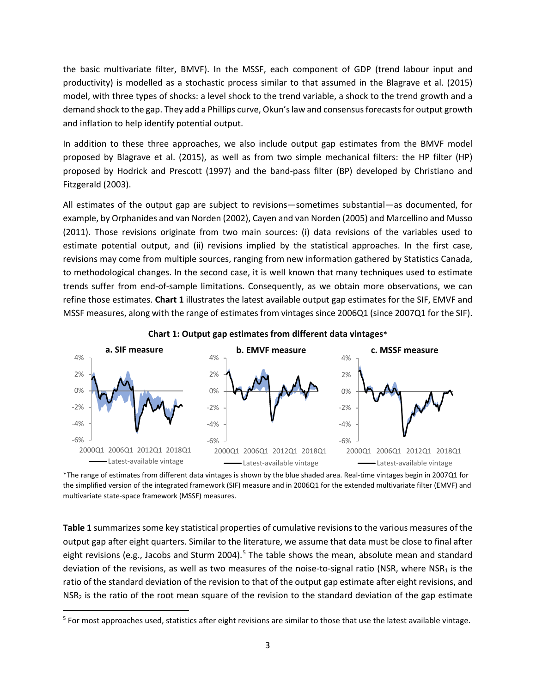the basic multivariate filter, BMVF). In the MSSF, each component of GDP (trend labour input and productivity) is modelled as a stochastic process similar to that assumed in the Blagrave et al. (2015) model, with three types of shocks: a level shock to the trend variable, a shock to the trend growth and a demand shock to the gap. They add a Phillips curve, Okun's law and consensus forecasts for output growth and inflation to help identify potential output.

In addition to these three approaches, we also include output gap estimates from the BMVF model proposed by Blagrave et al. (2015), as well as from two simple mechanical filters: the HP filter (HP) proposed by Hodrick and Prescott (1997) and the band-pass filter (BP) developed by Christiano and Fitzgerald (2003).

All estimates of the output gap are subject to revisions—sometimes substantial—as documented, for example, by Orphanides and van Norden (2002), Cayen and van Norden (2005) and Marcellino and Musso (2011). Those revisions originate from two main sources: (i) data revisions of the variables used to estimate potential output, and (ii) revisions implied by the statistical approaches. In the first case, revisions may come from multiple sources, ranging from new information gathered by Statistics Canada, to methodological changes. In the second case, it is well known that many techniques used to estimate trends suffer from end-of-sample limitations. Consequently, as we obtain more observations, we can refine those estimates. **Chart 1** illustrates the latest available output gap estimates for the SIF, EMVF and MSSF measures, along with the range of estimates from vintages since 2006Q1 (since 2007Q1 for the SIF).



**Chart 1: Output gap estimates from different data vintages\***

\*The range of estimates from different data vintages is shown by the blue shaded area. Real-time vintages begin in 2007Q1 for the simplified version of the integrated framework (SIF) measure and in 2006Q1 for the extended multivariate filter (EMVF) and multivariate state-space framework (MSSF) measures.

**Table 1** summarizes some key statistical properties of cumulative revisions to the various measures of the output gap after eight quarters. Similar to the literature, we assume that data must be close to final after eight revisions (e.g., Jacobs and Sturm 2004).<sup>[5](#page-5-0)</sup> The table shows the mean, absolute mean and standard deviation of the revisions, as well as two measures of the noise-to-signal ratio (NSR, where NSR<sub>1</sub> is the ratio of the standard deviation of the revision to that of the output gap estimate after eight revisions, and NSR<sub>2</sub> is the ratio of the root mean square of the revision to the standard deviation of the gap estimate

<span id="page-5-0"></span> $5$  For most approaches used, statistics after eight revisions are similar to those that use the latest available vintage.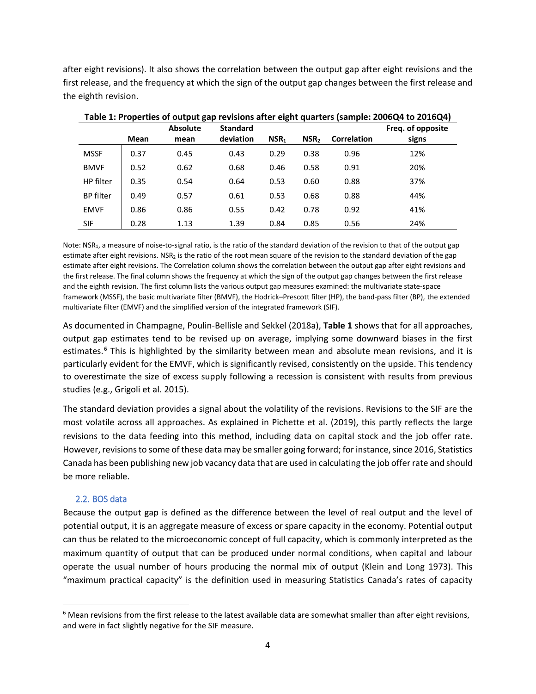after eight revisions). It also shows the correlation between the output gap after eight revisions and the first release, and the frequency at which the sign of the output gap changes between the first release and the eighth revision.

| Table 1. Froperties of butput gap revisions arter eight quarters (sample. 2000Q+ to 2010Q+) |      |                 |                 |                  |                  |                    |                   |
|---------------------------------------------------------------------------------------------|------|-----------------|-----------------|------------------|------------------|--------------------|-------------------|
|                                                                                             |      | <b>Absolute</b> | <b>Standard</b> |                  |                  |                    | Freg. of opposite |
|                                                                                             | Mean | mean            | deviation       | NSR <sub>1</sub> | NSR <sub>2</sub> | <b>Correlation</b> | signs             |
| <b>MSSF</b>                                                                                 | 0.37 | 0.45            | 0.43            | 0.29             | 0.38             | 0.96               | 12%               |
| <b>BMVF</b>                                                                                 | 0.52 | 0.62            | 0.68            | 0.46             | 0.58             | 0.91               | 20%               |
| HP filter                                                                                   | 0.35 | 0.54            | 0.64            | 0.53             | 0.60             | 0.88               | 37%               |
| <b>BP</b> filter                                                                            | 0.49 | 0.57            | 0.61            | 0.53             | 0.68             | 0.88               | 44%               |
| <b>EMVF</b>                                                                                 | 0.86 | 0.86            | 0.55            | 0.42             | 0.78             | 0.92               | 41%               |
| SIF                                                                                         | 0.28 | 1.13            | 1.39            | 0.84             | 0.85             | 0.56               | 24%               |

**Table 1: Properties of output gap revisions after eight quarters (sample: 2006Q4 to 2016Q4)**

Note: NSR<sub>1</sub>, a measure of noise-to-signal ratio, is the ratio of the standard deviation of the revision to that of the output gap estimate after eight revisions. NSR<sub>2</sub> is the ratio of the root mean square of the revision to the standard deviation of the gap estimate after eight revisions. The Correlation column shows the correlation between the output gap after eight revisions and the first release. The final column shows the frequency at which the sign of the output gap changes between the first release and the eighth revision. The first column lists the various output gap measures examined: the multivariate state-space framework (MSSF), the basic multivariate filter (BMVF), the Hodrick–Prescott filter (HP), the band-pass filter (BP), the extended multivariate filter (EMVF) and the simplified version of the integrated framework (SIF).

As documented in Champagne, Poulin-Bellisle and Sekkel (2018a), **Table 1** shows that for all approaches, output gap estimates tend to be revised up on average, implying some downward biases in the first estimates.<sup>[6](#page-6-0)</sup> This is highlighted by the similarity between mean and absolute mean revisions, and it is particularly evident for the EMVF, which is significantly revised, consistently on the upside. This tendency to overestimate the size of excess supply following a recession is consistent with results from previous studies (e.g., Grigoli et al. 2015).

The standard deviation provides a signal about the volatility of the revisions. Revisions to the SIF are the most volatile across all approaches. As explained in Pichette et al. (2019), this partly reflects the large revisions to the data feeding into this method, including data on capital stock and the job offer rate. However, revisions to some of these data may be smaller going forward; for instance, since 2016, Statistics Canada has been publishing new job vacancy data that are used in calculating the job offer rate and should be more reliable.

#### 2.2. BOS data

Because the output gap is defined as the difference between the level of real output and the level of potential output, it is an aggregate measure of excess or spare capacity in the economy. Potential output can thus be related to the microeconomic concept of full capacity, which is commonly interpreted as the maximum quantity of output that can be produced under normal conditions, when capital and labour operate the usual number of hours producing the normal mix of output (Klein and Long 1973). This "maximum practical capacity" is the definition used in measuring Statistics Canada's rates of capacity

<span id="page-6-0"></span> $6$  Mean revisions from the first release to the latest available data are somewhat smaller than after eight revisions, and were in fact slightly negative for the SIF measure.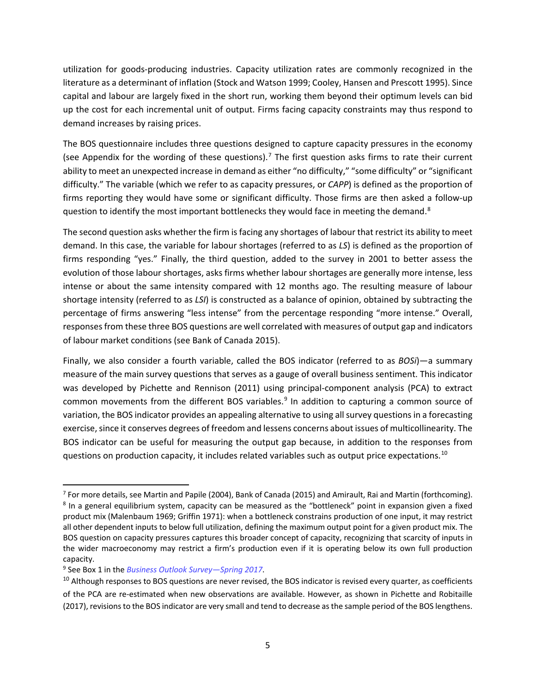utilization for goods-producing industries. Capacity utilization rates are commonly recognized in the literature as a determinant of inflation (Stock and Watson 1999; Cooley, Hansen and Prescott 1995). Since capital and labour are largely fixed in the short run, working them beyond their optimum levels can bid up the cost for each incremental unit of output. Firms facing capacity constraints may thus respond to demand increases by raising prices.

The BOS questionnaire includes three questions designed to capture capacity pressures in the economy (see Appendix for the wording of these questions).<sup>[7](#page-7-0)</sup> The first question asks firms to rate their current ability to meet an unexpected increase in demand as either "no difficulty," "some difficulty" or "significant difficulty." The variable (which we refer to as capacity pressures, or *CAPP*) is defined as the proportion of firms reporting they would have some or significant difficulty. Those firms are then asked a follow-up question to identify the most important bottlenecks they would face in meeting the demand.<sup>[8](#page-7-1)</sup>

The second question asks whether the firm is facing any shortages of labour that restrict its ability to meet demand. In this case, the variable for labour shortages (referred to as *LS*) is defined as the proportion of firms responding "yes." Finally, the third question, added to the survey in 2001 to better assess the evolution of those labour shortages, asks firms whether labour shortages are generally more intense, less intense or about the same intensity compared with 12 months ago. The resulting measure of labour shortage intensity (referred to as *LSI*) is constructed as a balance of opinion, obtained by subtracting the percentage of firms answering "less intense" from the percentage responding "more intense." Overall, responsesfrom these three BOS questions are well correlated with measures of output gap and indicators of labour market conditions (see Bank of Canada 2015).

Finally, we also consider a fourth variable, called the BOS indicator (referred to as *BOSi*)—a summary measure of the main survey questions that serves as a gauge of overall business sentiment. This indicator was developed by Pichette and Rennison (2011) using principal-component analysis (PCA) to extract common movements from the different BOS variables.<sup>[9](#page-7-2)</sup> In addition to capturing a common source of variation, the BOS indicator provides an appealing alternative to using all survey questionsin a forecasting exercise, since it conserves degrees of freedom and lessens concerns about issues of multicollinearity. The BOS indicator can be useful for measuring the output gap because, in addition to the responses from questions on production capacity, it includes related variables such as output price expectations.<sup>[10](#page-7-3)</sup>

<span id="page-7-1"></span><span id="page-7-0"></span> $^7$  For more details, see Martin and Papile (2004), Bank of Canada (2015) and Amirault, Rai and Martin (forthcoming). <sup>8</sup> In a general equilibrium system, capacity can be measured as the "bottleneck" point in expansion given a fixed product mix (Malenbaum 1969; Griffin 1971): when a bottleneck constrains production of one input, it may restrict all other dependent inputs to below full utilization, defining the maximum output point for a given product mix. The BOS question on capacity pressures captures this broader concept of capacity, recognizing that scarcity of inputs in the wider macroeconomy may restrict a firm's production even if it is operating below its own full production capacity.

<span id="page-7-2"></span><sup>9</sup> See Box 1 in the *[Business Outlook Survey—Spring](https://www.bankofcanada.ca/2017/04/bos-spring-2017/) 2017*.

<span id="page-7-3"></span><sup>&</sup>lt;sup>10</sup> Although responses to BOS questions are never revised, the BOS indicator is revised every quarter, as coefficients of the PCA are re-estimated when new observations are available. However, as shown in Pichette and Robitaille (2017), revisions to the BOS indicator are very small and tend to decrease as the sample period of the BOS lengthens.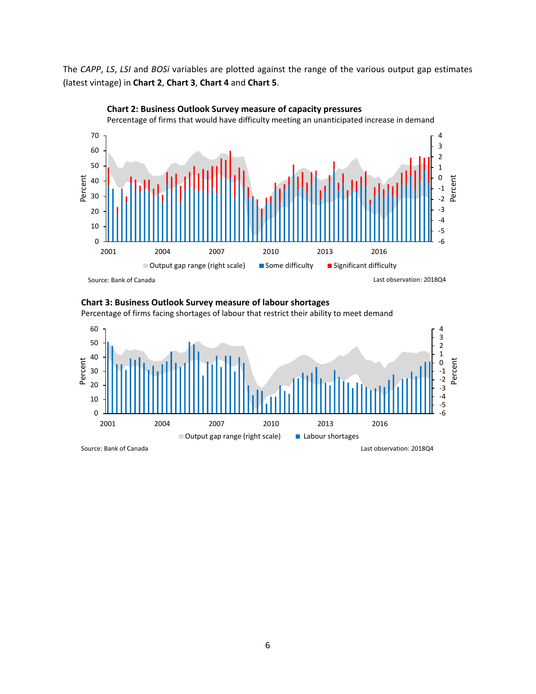The *CAPP*, *LS*, *LSI* and *BOSi* variables are plotted against the range of the various output gap estimates (latest vintage) in **Chart 2**, **Chart 3**, **Chart 4** and **Chart 5**.



# **Chart 2: Business Outlook Survey measure of capacity pressures**

#### **Chart 3: Business Outlook Survey measure of labour shortages**

Percentage of firms facing shortages of labour that restrict their ability to meet demand

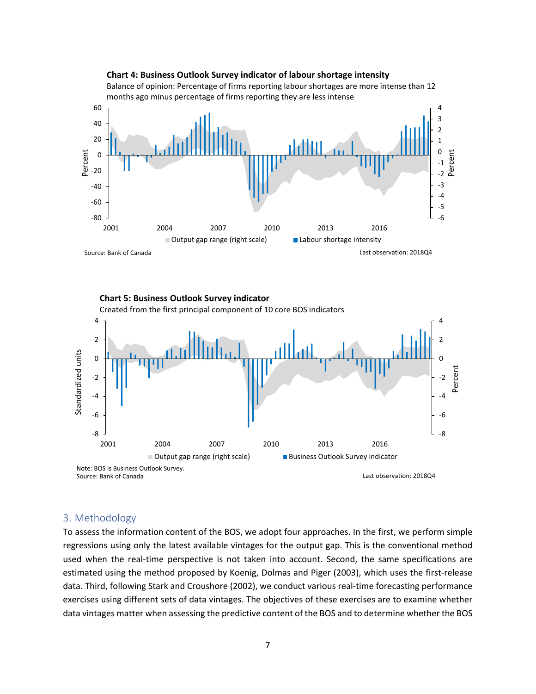

#### **Chart 5: Business Outlook Survey indicator** Created from the first principal component of 10 core BOS indicators 4 4 2 2 Standardized units Standardized units 0 0 Percent -2 -2 -4 -4 -6 -6 -8 -8 2001 2004 2007 2010 2013 2016 ■ Output gap range (right scale) Business Outlook Survey indicator Note: BOS is Business Outlook Survey.Source: Bank of Canada Last observation: 2018Q4

#### 3. Methodology

To assess the information content of the BOS, we adopt four approaches. In the first, we perform simple regressions using only the latest available vintages for the output gap. This is the conventional method used when the real-time perspective is not taken into account. Second, the same specifications are estimated using the method proposed by Koenig, Dolmas and Piger (2003), which uses the first-release data. Third, following Stark and Croushore (2002), we conduct various real-time forecasting performance exercises using different sets of data vintages. The objectives of these exercises are to examine whether data vintages matter when assessing the predictive content of the BOS and to determine whether the BOS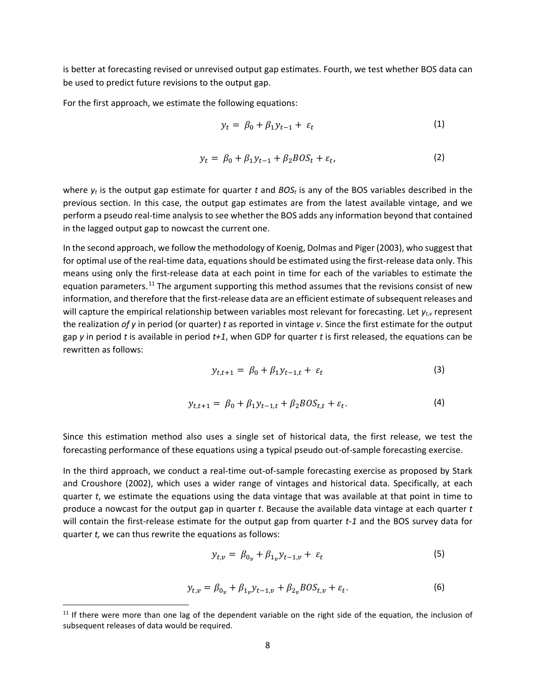is better at forecasting revised or unrevised output gap estimates. Fourth, we test whether BOS data can be used to predict future revisions to the output gap.

For the first approach, we estimate the following equations:

$$
y_t = \beta_0 + \beta_1 y_{t-1} + \varepsilon_t \tag{1}
$$

$$
y_t = \beta_0 + \beta_1 y_{t-1} + \beta_2 B O S_t + \varepsilon_t, \tag{2}
$$

where  $y_t$  is the output gap estimate for quarter *t* and  $BOS_t$  is any of the BOS variables described in the previous section. In this case, the output gap estimates are from the latest available vintage, and we perform a pseudo real-time analysis to see whether the BOS adds any information beyond that contained in the lagged output gap to nowcast the current one.

In the second approach, we follow the methodology of Koenig, Dolmas and Piger (2003), who suggest that for optimal use of the real-time data, equations should be estimated using the first-release data only. This means using only the first-release data at each point in time for each of the variables to estimate the equation parameters.<sup>[11](#page-10-0)</sup> The argument supporting this method assumes that the revisions consist of new information, and therefore that the first-release data are an efficient estimate of subsequent releases and will capture the empirical relationship between variables most relevant for forecasting. Let  $y_{t,v}$  represent the realization *of y* in period (or quarter) *t* as reported in vintage *v*. Since the first estimate for the output gap *y* in period *t* is available in period *t+1*, when GDP for quarter *t* is first released, the equations can be rewritten as follows:

$$
y_{t,t+1} = \beta_0 + \beta_1 y_{t-1,t} + \varepsilon_t \tag{3}
$$

$$
y_{t,t+1} = \beta_0 + \beta_1 y_{t-1,t} + \beta_2 BOS_{t,t} + \varepsilon_t.
$$
 (4)

Since this estimation method also uses a single set of historical data, the first release, we test the forecasting performance of these equations using a typical pseudo out-of-sample forecasting exercise.

In the third approach, we conduct a real-time out-of-sample forecasting exercise as proposed by Stark and Croushore (2002), which uses a wider range of vintages and historical data. Specifically, at each quarter *t*, we estimate the equations using the data vintage that was available at that point in time to produce a nowcast for the output gap in quarter *t*. Because the available data vintage at each quarter *t*  will contain the first-release estimate for the output gap from quarter *t-1* and the BOS survey data for quarter *t,* we can thus rewrite the equations as follows:

$$
y_{t,v} = \beta_{0v} + \beta_{1v} y_{t-1,v} + \varepsilon_t \tag{5}
$$

$$
y_{t,v} = \beta_{0v} + \beta_{1v} y_{t-1,v} + \beta_{2v} BOS_{t,v} + \varepsilon_t.
$$
 (6)

<span id="page-10-0"></span> $11$  If there were more than one lag of the dependent variable on the right side of the equation, the inclusion of subsequent releases of data would be required.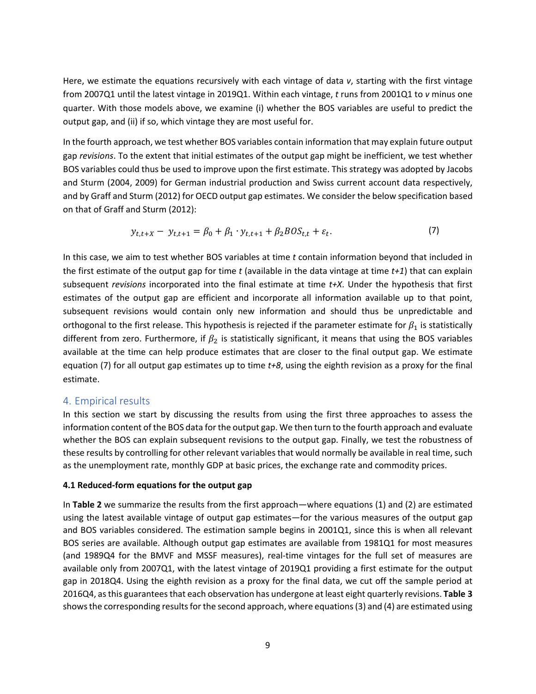Here, we estimate the equations recursively with each vintage of data *v*, starting with the first vintage from 2007Q1 until the latest vintage in 2019Q1. Within each vintage, *t* runs from 2001Q1 to *v* minus one quarter. With those models above, we examine (i) whether the BOS variables are useful to predict the output gap, and (ii) if so, which vintage they are most useful for.

In the fourth approach, we test whether BOS variables contain information that may explain future output gap *revisions*. To the extent that initial estimates of the output gap might be inefficient, we test whether BOS variables could thus be used to improve upon the first estimate. This strategy was adopted by Jacobs and Sturm (2004, 2009) for German industrial production and Swiss current account data respectively, and by Graff and Sturm (2012) for OECD output gap estimates. We consider the below specification based on that of Graff and Sturm (2012):

$$
y_{t,t+X} - y_{t,t+1} = \beta_0 + \beta_1 \cdot y_{t,t+1} + \beta_2 BOS_{t,t} + \varepsilon_t.
$$
 (7)

In this case, we aim to test whether BOS variables at time *t* contain information beyond that included in the first estimate of the output gap for time *t* (available in the data vintage at time *t+1*) that can explain subsequent *revisions* incorporated into the final estimate at time *t+X*. Under the hypothesis that first estimates of the output gap are efficient and incorporate all information available up to that point, subsequent revisions would contain only new information and should thus be unpredictable and orthogonal to the first release. This hypothesis is rejected if the parameter estimate for  $\beta_1$  is statistically different from zero. Furthermore, if  $\beta_2$  is statistically significant, it means that using the BOS variables available at the time can help produce estimates that are closer to the final output gap. We estimate equation (7) for all output gap estimates up to time *t+8*, using the eighth revision as a proxy for the final estimate.

#### 4. Empirical results

In this section we start by discussing the results from using the first three approaches to assess the information content of the BOS data for the output gap. We then turn to the fourth approach and evaluate whether the BOS can explain subsequent revisions to the output gap. Finally, we test the robustness of these results by controlling for other relevant variables that would normally be available in real time, such as the unemployment rate, monthly GDP at basic prices, the exchange rate and commodity prices.

#### **4.1 Reduced-form equations for the output gap**

In **Table 2** we summarize the results from the first approach—where equations (1) and (2) are estimated using the latest available vintage of output gap estimates—for the various measures of the output gap and BOS variables considered. The estimation sample begins in 2001Q1, since this is when all relevant BOS series are available. Although output gap estimates are available from 1981Q1 for most measures (and 1989Q4 for the BMVF and MSSF measures), real-time vintages for the full set of measures are available only from 2007Q1, with the latest vintage of 2019Q1 providing a first estimate for the output gap in 2018Q4. Using the eighth revision as a proxy for the final data, we cut off the sample period at 2016Q4, as this guarantees that each observation has undergone at least eight quarterly revisions. **Table 3** shows the corresponding results for the second approach, where equations (3) and (4) are estimated using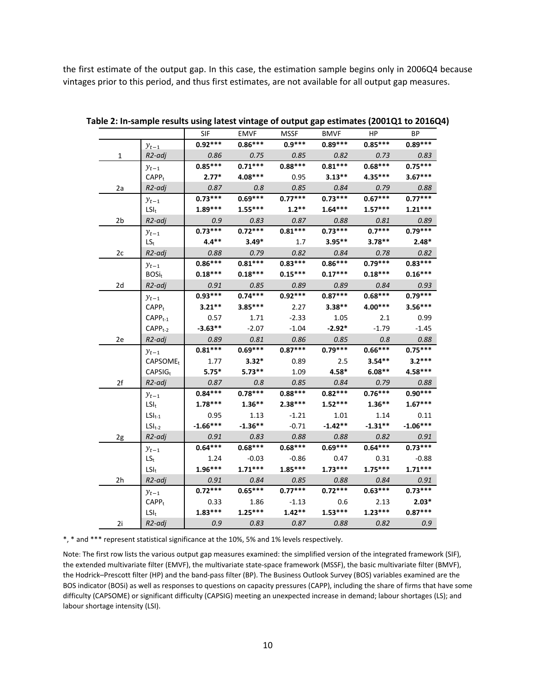the first estimate of the output gap. In this case, the estimation sample begins only in 2006Q4 because vintages prior to this period, and thus first estimates, are not available for all output gap measures.

|    |                       | SIF        | <b>EMVF</b> | <b>MSSF</b> | <b>BMVF</b> | HP.       | BP         |
|----|-----------------------|------------|-------------|-------------|-------------|-----------|------------|
|    | $y_{t-1}$             | $0.92***$  | $0.86***$   | $0.9***$    | $0.89***$   | $0.85***$ | $0.89***$  |
| 1  | R2-adj                | 0.86       | 0.75        | 0.85        | 0.82        | 0.73      | 0.83       |
|    | $y_{t-1}$             | $0.85***$  | $0.71***$   | $0.88***$   | $0.81***$   | $0.68***$ | $0.75***$  |
|    | CAPP <sub>t</sub>     | $2.77*$    | $4.08***$   | 0.95        | $3.13**$    | 4.35***   | $3.67***$  |
| 2a | R2-adj                | 0.87       | 0.8         | 0.85        | 0.84        | 0.79      | 0.88       |
|    | $y_{t-1}$             | $0.73***$  | $0.69***$   | $0.77***$   | $0.73***$   | $0.67***$ | $0.77***$  |
|    | $LSI_t$               | $1.89***$  | $1.55***$   | $1.2**$     | $1.64***$   | $1.57***$ | $1.21***$  |
| 2b | R2-adj                | 0.9        | 0.83        | 0.87        | 0.88        | 0.81      | 0.89       |
|    | $y_{t-1}$             | $0.73***$  | $0.72***$   | $0.81***$   | $0.73***$   | $0.7***$  | $0.79***$  |
|    | $LS_{t}$              | $4.4**$    | $3.49*$     | 1.7         | $3.95**$    | $3.78**$  | $2.48*$    |
| 2c | R2-adj                | 0.88       | 0.79        | 0.82        | 0.84        | 0.78      | 0.82       |
|    | $y_{t-1}$             | $0.86***$  | $0.81***$   | $0.83***$   | $0.86***$   | $0.79***$ | $0.83***$  |
|    | $BOSi_t$              | $0.18***$  | $0.18***$   | $0.15***$   | $0.17***$   | $0.18***$ | $0.16***$  |
| 2d | R2-adj                | 0.91       | 0.85        | 0.89        | 0.89        | 0.84      | 0.93       |
|    | $y_{t-1}$             | $0.93***$  | $0.74***$   | $0.92***$   | $0.87***$   | $0.68***$ | $0.79***$  |
|    | $CAPF+$               | $3.21**$   | $3.85***$   | 2.27        | $3.38**$    | 4.00***   | $3.56***$  |
|    | $\mathsf{CAPP}_{t-1}$ | 0.57       | 1.71        | $-2.33$     | 1.05        | 2.1       | 0.99       |
|    | $CAPPt-2$             | $-3.63**$  | $-2.07$     | $-1.04$     | $-2.92*$    | $-1.79$   | $-1.45$    |
| 2e | R2-adi                | 0.89       | 0.81        | 0.86        | 0.85        | 0.8       | 0.88       |
|    | $y_{t-1}$             | $0.81***$  | $0.69***$   | $0.87***$   | $0.79***$   | $0.66***$ | $0.75***$  |
|    | CAPSOME <sub>t</sub>  | 1.77       | $3.32*$     | 0.89        | 2.5         | $3.54***$ | $3.2***$   |
|    | CAPSIG <sub>t</sub>   | $5.75*$    | $5.73**$    | 1.09        | $4.58*$     | $6.08**$  | 4.58***    |
| 2f | R2-adi                | 0.87       | 0.8         | 0.85        | 0.84        | 0.79      | 0.88       |
|    | $y_{t-1}$             | $0.84***$  | $0.78***$   | $0.88***$   | $0.82***$   | $0.76***$ | $0.90***$  |
|    | $LSI_t$               | $1.78***$  | $1.36***$   | $2.38***$   | $1.52***$   | $1.36***$ | $1.67***$  |
|    | $LSI_{t-1}$           | 0.95       | 1.13        | $-1.21$     | 1.01        | 1.14      | 0.11       |
|    | $LSI_{t-2}$           | $-1.66***$ | $-1.36**$   | $-0.71$     | $-1.42**$   | $-1.31**$ | $-1.06***$ |
| 2g | R2-adj                | 0.91       | 0.83        | 0.88        | 0.88        | 0.82      | 0.91       |
|    | $y_{t-1}$             | $0.64***$  | $0.68***$   | $0.68***$   | $0.69***$   | $0.64***$ | $0.73***$  |
|    | $LS_t$                | 1.24       | $-0.03$     | $-0.86$     | 0.47        | 0.31      | $-0.88$    |
|    | $LSI_t$               | $1.96***$  | $1.71***$   | $1.85***$   | $1.73***$   | $1.75***$ | $1.71***$  |
| 2h | R2-adi                | 0.91       | 0.84        | 0.85        | 0.88        | 0.84      | 0.91       |
|    | $y_{t-1}$             | $0.72***$  | $0.65***$   | $0.77***$   | $0.72***$   | $0.63***$ | $0.73***$  |
|    | CAPP <sub>t</sub>     | 0.33       | 1.86        | $-1.13$     | 0.6         | 2.13      | $2.03*$    |
|    | $LSI_t$               | $1.83***$  | $1.25***$   | $1.42**$    | $1.53***$   | $1.23***$ | $0.87***$  |
| 2i | R2-adi                | 0.9        | 0.83        | 0.87        | 0.88        | 0.82      | 0.9        |

**Table 2: In-sample results using latest vintage of output gap estimates (2001Q1 to 2016Q4)**

\*, \* and \*\*\* represent statistical significance at the 10%, 5% and 1% levels respectively.

Note: The first row lists the various output gap measures examined: the simplified version of the integrated framework (SIF), the extended multivariate filter (EMVF), the multivariate state-space framework (MSSF), the basic multivariate filter (BMVF), the Hodrick–Prescott filter (HP) and the band-pass filter (BP). The Business Outlook Survey (BOS) variables examined are the BOS indicator (BOSi) as well as responses to questions on capacity pressures (CAPP), including the share of firms that have some difficulty (CAPSOME) or significant difficulty (CAPSIG) meeting an unexpected increase in demand; labour shortages (LS); and labour shortage intensity (LSI).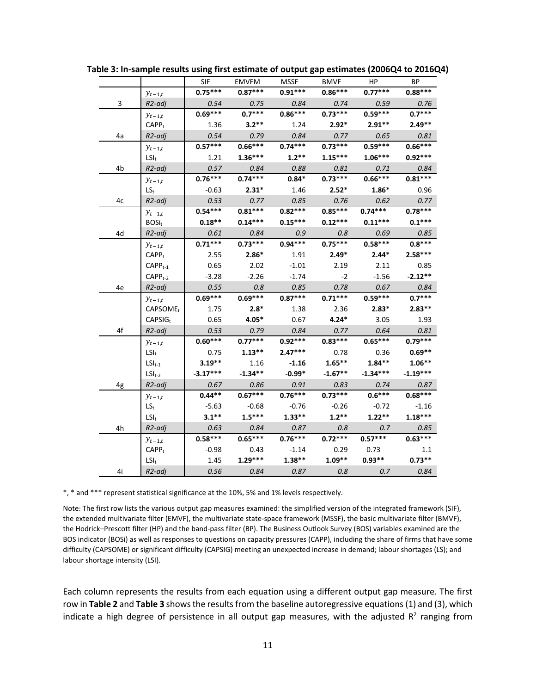|    |                            | SIF        | EMVFM     | MSSF      | <b>BMVF</b> | HP.        | BP         |
|----|----------------------------|------------|-----------|-----------|-------------|------------|------------|
|    | $y_{t-1,t}$                | $0.75***$  | $0.87***$ | $0.91***$ | $0.86***$   | $0.77***$  | $0.88***$  |
| 3  | R2-adi                     | 0.54       | 0.75      | 0.84      | 0.74        | 0.59       | 0.76       |
|    | $y_{t-1,t}$                | $0.69***$  | $0.7***$  | $0.86***$ | $0.73***$   | $0.59***$  | $0.7***$   |
|    | $CAPF_t$                   | 1.36       | $3.2**$   | 1.24      | $2.92*$     | $2.91**$   | $2.49**$   |
| 4a | R2-adj                     | 0.54       | 0.79      | 0.84      | 0.77        | 0.65       | 0.81       |
|    | $y_{t-1,t}$                | $0.57***$  | $0.66***$ | $0.74***$ | $0.73***$   | $0.59***$  | $0.66***$  |
|    | $LSI_t$                    | 1.21       | $1.36***$ | $1.2**$   | $1.15***$   | $1.06***$  | $0.92***$  |
| 4b | R2-adj                     | 0.57       | 0.84      | 0.88      | 0.81        | 0.71       | 0.84       |
|    | $y_{t-1,t}$                | $0.76***$  | $0.74***$ | $0.84*$   | $0.73***$   | $0.66***$  | $0.81***$  |
|    | $LS_{t}$                   | $-0.63$    | $2.31*$   | 1.46      | $2.52*$     | $1.86*$    | 0.96       |
| 4c | R2-adj                     | 0.53       | 0.77      | 0.85      | 0.76        | 0.62       | 0.77       |
|    | $y_{t-1,t}$                | $0.54***$  | $0.81***$ | $0.82***$ | $0.85***$   | $0.74***$  | $0.78***$  |
|    | $BOSi_t$                   | $0.18**$   | $0.14***$ | $0.15***$ | $0.12***$   | $0.11***$  | $0.1***$   |
| 4d | R2-adj                     | 0.61       | 0.84      | 0.9       | 0.8         | 0.69       | 0.85       |
|    | $y_{t-1,t}$                | $0.71***$  | $0.73***$ | $0.94***$ | $0.75***$   | $0.58***$  | $0.8***$   |
|    | CAPP <sub>t</sub>          | 2.55       | $2.86*$   | 1.91      | $2.49*$     | $2.44*$    | $2.58***$  |
|    | $CAPPt-1$                  | 0.65       | 2.02      | $-1.01$   | 2.19        | 2.11       | 0.85       |
|    | $CAPPt-2$                  | $-3.28$    | $-2.26$   | $-1.74$   | $-2$        | $-1.56$    | $-2.12**$  |
| 4e | R2-adj                     | 0.55       | 0.8       | 0.85      | 0.78        | 0.67       | 0.84       |
|    | $y_{t-1,t}$                | $0.69***$  | $0.69***$ | $0.87***$ | $0.71***$   | $0.59***$  | $0.7***$   |
|    | CAPSOME <sub>t</sub>       | 1.75       | $2.8*$    | 1.38      | 2.36        | $2.83*$    | $2.83***$  |
|    | $CAPSIG_t$                 | 0.65       | $4.05*$   | 0.67      | $4.24*$     | 3.05       | 1.93       |
| 4f | R2-adj                     | 0.53       | 0.79      | 0.84      | 0.77        | 0.64       | 0.81       |
|    | $y_{t-1,t}$                | $0.60***$  | $0.77***$ | $0.92***$ | $0.83***$   | $0.65***$  | $0.79***$  |
|    | $LSI_t$                    | 0.75       | $1.13***$ | $2.47***$ | 0.78        | 0.36       | $0.69**$   |
|    | $LSI_{t-1}$                | $3.19***$  | 1.16      | $-1.16$   | $1.65***$   | $1.84***$  | $1.06**$   |
|    | $LSI_{t-2}$                | $-3.17***$ | $-1.34**$ | $-0.99*$  | $-1.67**$   | $-1.34***$ | $-1.19***$ |
| 4g | R <sub>2</sub> -adj        | 0.67       | 0.86      | 0.91      | 0.83        | 0.74       | 0.87       |
|    | $y_{t-1,t}$                | $0.44**$   | $0.67***$ | $0.76***$ | $0.73***$   | $0.6***$   | $0.68***$  |
|    | $\mathsf{LS}_{\mathsf{t}}$ | $-5.63$    | $-0.68$   | $-0.76$   | $-0.26$     | $-0.72$    | $-1.16$    |
|    | $LSI_t$                    | $3.1**$    | $1.5***$  | $1.33**$  | $1.2**$     | $1.22**$   | $1.18***$  |
| 4h | R <sub>2</sub> -adj        | 0.63       | 0.84      | 0.87      | 0.8         | 0.7        | 0.85       |
|    | $y_{t-1,t}$                | $0.58***$  | $0.65***$ | $0.76***$ | $0.72***$   | $0.57***$  | $0.63***$  |
|    | $CAPP_t$                   | $-0.98$    | 0.43      | $-1.14$   | 0.29        | 0.73       | 1.1        |
|    | $LSI_t$                    | 1.45       | $1.29***$ | $1.38***$ | $1.09**$    | $0.93**$   | $0.73**$   |
| 4i | R2-adi                     | 0.56       | 0.84      | 0.87      | 0.8         | 0.7        | 0.84       |

**Table 3: In-sample results using first estimate of output gap estimates (2006Q4 to 2016Q4)**

\*, \* and \*\*\* represent statistical significance at the 10%, 5% and 1% levels respectively.

Note: The first row lists the various output gap measures examined: the simplified version of the integrated framework (SIF), the extended multivariate filter (EMVF), the multivariate state-space framework (MSSF), the basic multivariate filter (BMVF), the Hodrick–Prescott filter (HP) and the band-pass filter (BP). The Business Outlook Survey (BOS) variables examined are the BOS indicator (BOSi) as well as responses to questions on capacity pressures (CAPP), including the share of firms that have some difficulty (CAPSOME) or significant difficulty (CAPSIG) meeting an unexpected increase in demand; labour shortages (LS); and labour shortage intensity (LSI).

Each column represents the results from each equation using a different output gap measure. The first row in **Table 2** and **Table 3** shows the results from the baseline autoregressive equations(1) and (3), which indicate a high degree of persistence in all output gap measures, with the adjusted  $R^2$  ranging from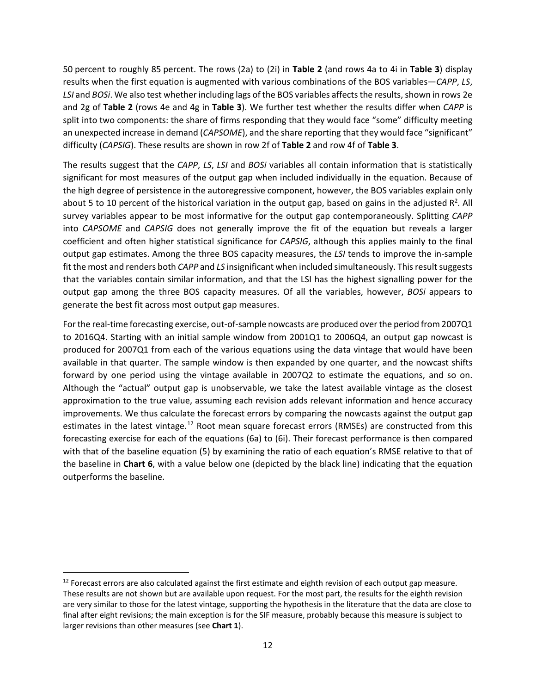50 percent to roughly 85 percent. The rows (2a) to (2i) in **Table 2** (and rows 4a to 4i in **Table 3**) display results when the first equation is augmented with various combinations of the BOS variables—*CAPP*, *LS*, *LSI* and *BOSi*. We also test whether including lags of the BOS variables affects the results, shown in rows 2e and 2g of **Table 2** (rows 4e and 4g in **Table 3**). We further test whether the results differ when *CAPP* is split into two components: the share of firms responding that they would face "some" difficulty meeting an unexpected increase in demand (*CAPSOME*), and the share reporting that they would face "significant" difficulty (*CAPSIG*). These results are shown in row 2f of **Table 2** and row 4f of **Table 3**.

The results suggest that the *CAPP*, *LS*, *LSI* and *BOSi* variables all contain information that is statistically significant for most measures of the output gap when included individually in the equation. Because of the high degree of persistence in the autoregressive component, however, the BOS variables explain only about 5 to 10 percent of the historical variation in the output gap, based on gains in the adjusted  $R^2$ . All survey variables appear to be most informative for the output gap contemporaneously. Splitting *CAPP* into *CAPSOME* and *CAPSIG* does not generally improve the fit of the equation but reveals a larger coefficient and often higher statistical significance for *CAPSIG*, although this applies mainly to the final output gap estimates. Among the three BOS capacity measures, the *LSI* tends to improve the in-sample fit the most and renders both *CAPP* and *LS* insignificant when included simultaneously. This result suggests that the variables contain similar information, and that the LSI has the highest signalling power for the output gap among the three BOS capacity measures. Of all the variables, however, *BOSi* appears to generate the best fit across most output gap measures.

For the real-time forecasting exercise, out-of-sample nowcasts are produced over the period from 2007Q1 to 2016Q4. Starting with an initial sample window from 2001Q1 to 2006Q4, an output gap nowcast is produced for 2007Q1 from each of the various equations using the data vintage that would have been available in that quarter. The sample window is then expanded by one quarter, and the nowcast shifts forward by one period using the vintage available in 2007Q2 to estimate the equations, and so on. Although the "actual" output gap is unobservable, we take the latest available vintage as the closest approximation to the true value, assuming each revision adds relevant information and hence accuracy improvements. We thus calculate the forecast errors by comparing the nowcasts against the output gap estimates in the latest vintage.<sup>[12](#page-14-0)</sup> Root mean square forecast errors (RMSEs) are constructed from this forecasting exercise for each of the equations (6a) to (6i). Their forecast performance is then compared with that of the baseline equation (5) by examining the ratio of each equation's RMSE relative to that of the baseline in **Chart 6**, with a value below one (depicted by the black line) indicating that the equation outperforms the baseline.

<span id="page-14-0"></span> $12$  Forecast errors are also calculated against the first estimate and eighth revision of each output gap measure. These results are not shown but are available upon request. For the most part, the results for the eighth revision are very similar to those for the latest vintage, supporting the hypothesis in the literature that the data are close to final after eight revisions; the main exception is for the SIF measure, probably because this measure is subject to larger revisions than other measures (see **Chart 1**).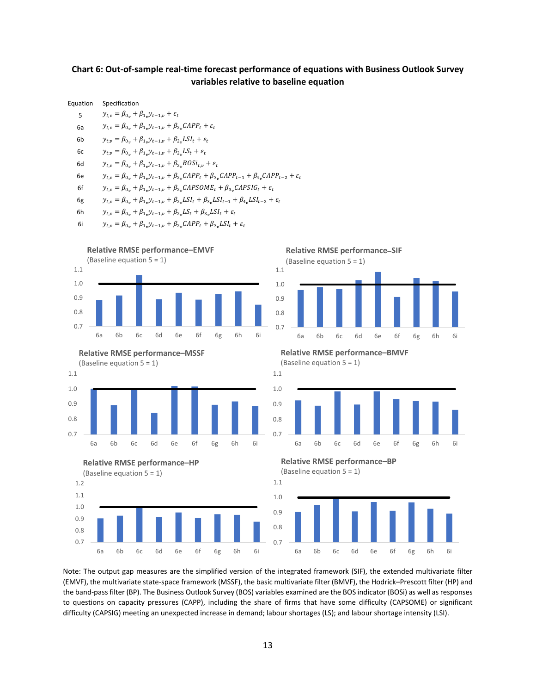#### **Chart 6: Out-of-sample real-time forecast performance of equations with Business Outlook Survey variables relative to baseline equation**



Note: The output gap measures are the simplified version of the integrated framework (SIF), the extended multivariate filter (EMVF), the multivariate state-space framework (MSSF), the basic multivariate filter (BMVF), the Hodrick–Prescott filter (HP) and the band-pass filter (BP). The Business Outlook Survey (BOS) variables examined are the BOS indicator (BOSi) as well as responses to questions on capacity pressures (CAPP), including the share of firms that have some difficulty (CAPSOME) or significant difficulty (CAPSIG) meeting an unexpected increase in demand; labour shortages (LS); and labour shortage intensity (LSI).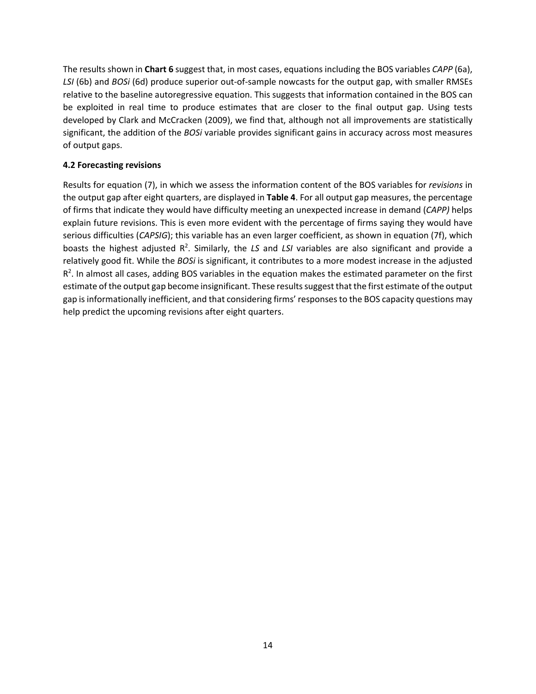The results shown in **Chart 6** suggest that, in most cases, equations including the BOS variables *CAPP* (6a), *LSI* (6b) and *BOSi* (6d) produce superior out-of-sample nowcasts for the output gap, with smaller RMSEs relative to the baseline autoregressive equation. This suggests that information contained in the BOS can be exploited in real time to produce estimates that are closer to the final output gap. Using tests developed by Clark and McCracken (2009), we find that, although not all improvements are statistically significant, the addition of the *BOSi* variable provides significant gains in accuracy across most measures of output gaps.

#### **4.2 Forecasting revisions**

Results for equation (7), in which we assess the information content of the BOS variables for *revisions* in the output gap after eight quarters, are displayed in **Table 4**. For all output gap measures, the percentage of firms that indicate they would have difficulty meeting an unexpected increase in demand (*CAPP)* helps explain future revisions. This is even more evident with the percentage of firms saying they would have serious difficulties (*CAPSIG*); this variable has an even larger coefficient, as shown in equation (7f), which boasts the highest adjusted R<sup>2</sup>. Similarly, the LS and LSI variables are also significant and provide a relatively good fit. While the *BOSi* is significant, it contributes to a more modest increase in the adjusted  $R<sup>2</sup>$ . In almost all cases, adding BOS variables in the equation makes the estimated parameter on the first estimate of the output gap become insignificant. These results suggest that the first estimate of the output gap is informationally inefficient, and that considering firms' responses to the BOS capacity questions may help predict the upcoming revisions after eight quarters.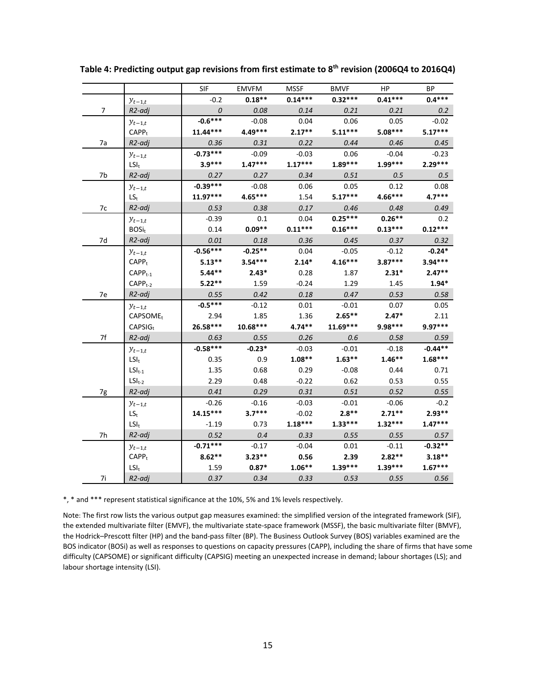|    |                      | SIF              | <b>EMVFM</b> | MSSF      | <b>BMVF</b> | HP.       | BP        |
|----|----------------------|------------------|--------------|-----------|-------------|-----------|-----------|
|    | $y_{t-1,t}$          | $-0.2$           | $0.18**$     | $0.14***$ | $0.32***$   | $0.41***$ | $0.4***$  |
| 7  | R2-adj               | $\boldsymbol{0}$ | 0.08         | 0.14      | 0.21        | 0.21      | 0.2       |
|    | $y_{t-1,t}$          | $-0.6***$        | $-0.08$      | 0.04      | 0.06        | 0.05      | $-0.02$   |
|    | CAPP <sub>t</sub>    | $11.44***$       | 4.49***      | $2.17**$  | $5.11***$   | $5.08***$ | $5.17***$ |
| 7a | R2-adj               | 0.36             | 0.31         | 0.22      | 0.44        | 0.46      | 0.45      |
|    | $y_{t-1,t}$          | $-0.73***$       | $-0.09$      | $-0.03$   | 0.06        | $-0.04$   | $-0.23$   |
|    | $LSI_t$              | $3.9***$         | $1.47***$    | $1.17***$ | $1.89***$   | $1.99***$ | $2.29***$ |
| 7b | R <sub>2</sub> -adj  | 0.27             | 0.27         | 0.34      | 0.51        | 0.5       | 0.5       |
|    | $y_{t-1,t}$          | -0.39***         | $-0.08$      | 0.06      | 0.05        | 0.12      | 0.08      |
|    | $LS_{t}$             | $11.97***$       | $4.65***$    | 1.54      | $5.17***$   | 4.66***   | $4.7***$  |
| 7c | R2-adj               | 0.53             | 0.38         | 0.17      | 0.46        | 0.48      | 0.49      |
|    | $y_{t-1,t}$          | $-0.39$          | 0.1          | 0.04      | $0.25***$   | $0.26***$ | 0.2       |
|    | $BOSi_t$             | 0.14             | $0.09**$     | $0.11***$ | $0.16***$   | $0.13***$ | $0.12***$ |
| 7d | R2-adj               | 0.01             | 0.18         | 0.36      | 0.45        | 0.37      | 0.32      |
|    | $y_{t-1,t}$          | $-0.56***$       | $-0.25**$    | 0.04      | $-0.05$     | $-0.12$   | $-0.24*$  |
|    | $CAPP_t$             | $5.13***$        | $3.54***$    | $2.14*$   | $4.16***$   | $3.87***$ | $3.94***$ |
|    | $CAPPt-1$            | $5.44**$         | $2.43*$      | 0.28      | 1.87        | $2.31*$   | $2.47**$  |
|    | $CAPPt-2$            | $5.22**$         | 1.59         | $-0.24$   | 1.29        | 1.45      | $1.94*$   |
| 7e | R2-adj               | 0.55             | 0.42         | 0.18      | 0.47        | 0.53      | 0.58      |
|    | $y_{t-1,t}$          | $-0.5***$        | $-0.12$      | 0.01      | $-0.01$     | 0.07      | 0.05      |
|    | CAPSOME <sub>t</sub> | 2.94             | 1.85         | 1.36      | $2.65***$   | $2.47*$   | 2.11      |
|    | $CAPSIG_t$           | 26.58***         | $10.68***$   | $4.74**$  | $11.69***$  | 9.98***   | 9.97***   |
| 7f | R <sub>2</sub> -adj  | 0.63             | 0.55         | 0.26      | 0.6         | 0.58      | 0.59      |
|    | $y_{t-1,t}$          | $-0.58***$       | $-0.23*$     | $-0.03$   | $-0.01$     | $-0.18$   | $-0.44**$ |
|    | $LSI_t$              | 0.35             | 0.9          | $1.08**$  | $1.63**$    | $1.46**$  | $1.68***$ |
|    | $LSI_{t-1}$          | 1.35             | 0.68         | 0.29      | $-0.08$     | 0.44      | 0.71      |
|    | $LSI_{t-2}$          | 2.29             | 0.48         | $-0.22$   | 0.62        | 0.53      | 0.55      |
| 7g | R <sub>2</sub> -adj  | 0.41             | 0.29         | 0.31      | 0.51        | 0.52      | 0.55      |
|    | $y_{t-1,t}$          | $-0.26$          | $-0.16$      | $-0.03$   | $-0.01$     | $-0.06$   | $-0.2$    |
|    | $LS_t$               | 14.15***         | $3.7***$     | $-0.02$   | $2.8**$     | $2.71**$  | $2.93**$  |
|    | $LSI_t$              | $-1.19$          | 0.73         | $1.18***$ | $1.33***$   | $1.32***$ | $1.47***$ |
| 7h | R <sub>2</sub> -adj  | 0.52             | 0.4          | 0.33      | 0.55        | 0.55      | 0.57      |
|    | $y_{t-1,t}$          | $-0.71***$       | $-0.17$      | $-0.04$   | 0.01        | $-0.11$   | $-0.32**$ |
|    | CAPP <sub>t</sub>    | $8.62***$        | $3.23***$    | 0.56      | 2.39        | $2.82**$  | $3.18**$  |
|    | $LSI_t$              | 1.59             | $0.87*$      | $1.06***$ | $1.39***$   | $1.39***$ | $1.67***$ |
| 7i | R <sub>2</sub> -adj  | 0.37             | 0.34         | 0.33      | 0.53        | 0.55      | 0.56      |

**Table 4: Predicting output gap revisions from first estimate to 8th revision (2006Q4 to 2016Q4)**

\*, \* and \*\*\* represent statistical significance at the 10%, 5% and 1% levels respectively.

Note: The first row lists the various output gap measures examined: the simplified version of the integrated framework (SIF), the extended multivariate filter (EMVF), the multivariate state-space framework (MSSF), the basic multivariate filter (BMVF), the Hodrick–Prescott filter (HP) and the band-pass filter (BP). The Business Outlook Survey (BOS) variables examined are the BOS indicator (BOSi) as well as responses to questions on capacity pressures (CAPP), including the share of firms that have some difficulty (CAPSOME) or significant difficulty (CAPSIG) meeting an unexpected increase in demand; labour shortages (LS); and labour shortage intensity (LSI).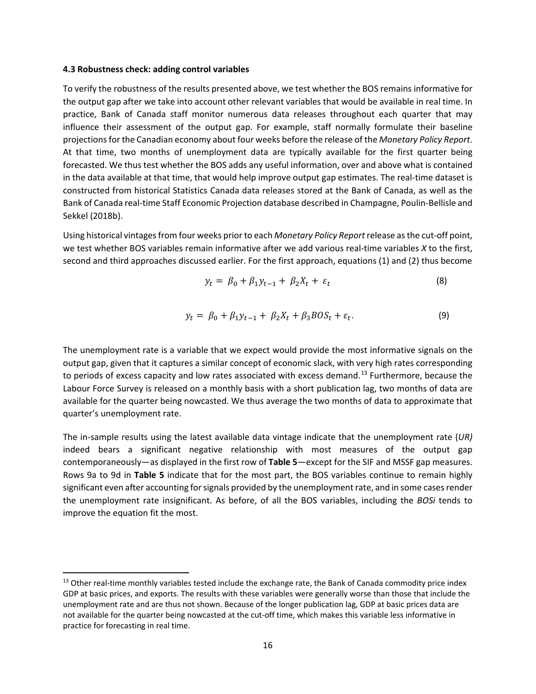#### **4.3 Robustness check: adding control variables**

To verify the robustness of the results presented above, we test whether the BOS remains informative for the output gap after we take into account other relevant variables that would be available in real time. In practice, Bank of Canada staff monitor numerous data releases throughout each quarter that may influence their assessment of the output gap. For example, staff normally formulate their baseline projections for the Canadian economy about four weeks before the release of the *Monetary Policy Report*. At that time, two months of unemployment data are typically available for the first quarter being forecasted. We thus test whether the BOS adds any useful information, over and above what is contained in the data available at that time, that would help improve output gap estimates. The real-time dataset is constructed from historical Statistics Canada data releases stored at the Bank of Canada, as well as the Bank of Canada real-time Staff Economic Projection database described in Champagne, Poulin-Bellisle and Sekkel (2018b).

Using historical vintages from four weeks prior to each *Monetary Policy Report* release as the cut-off point, we test whether BOS variables remain informative after we add various real-time variables *X* to the first, second and third approaches discussed earlier. For the first approach, equations (1) and (2) thus become

$$
y_t = \beta_0 + \beta_1 y_{t-1} + \beta_2 X_t + \varepsilon_t \tag{8}
$$

$$
y_t = \beta_0 + \beta_1 y_{t-1} + \beta_2 X_t + \beta_3 B O S_t + \varepsilon_t.
$$
\n(9)

The unemployment rate is a variable that we expect would provide the most informative signals on the output gap, given that it captures a similar concept of economic slack, with very high rates corresponding to periods of excess capacity and low rates associated with excess demand.<sup>[13](#page-18-0)</sup> Furthermore, because the Labour Force Survey is released on a monthly basis with a short publication lag, two months of data are available for the quarter being nowcasted. We thus average the two months of data to approximate that quarter's unemployment rate.

The in-sample results using the latest available data vintage indicate that the unemployment rate (*UR)*  indeed bears a significant negative relationship with most measures of the output gap contemporaneously—as displayed in the first row of **Table 5**—except for the SIF and MSSF gap measures. Rows 9a to 9d in **Table 5** indicate that for the most part, the BOS variables continue to remain highly significant even after accounting for signals provided by the unemployment rate, and in some cases render the unemployment rate insignificant. As before, of all the BOS variables, including the *BOSi* tends to improve the equation fit the most.

<span id="page-18-0"></span><sup>&</sup>lt;sup>13</sup> Other real-time monthly variables tested include the exchange rate, the Bank of Canada commodity price index GDP at basic prices, and exports. The results with these variables were generally worse than those that include the unemployment rate and are thus not shown. Because of the longer publication lag, GDP at basic prices data are not available for the quarter being nowcasted at the cut-off time, which makes this variable less informative in practice for forecasting in real time.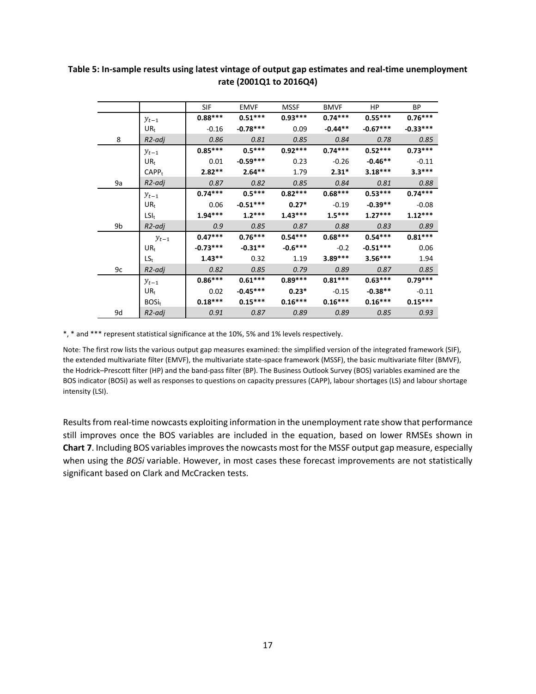|    |                   | <b>SIF</b> | <b>EMVF</b> | <b>MSSF</b> | <b>BMVF</b> | HP.        | BP.        |
|----|-------------------|------------|-------------|-------------|-------------|------------|------------|
|    | $y_{t-1}$         | $0.88***$  | $0.51***$   | $0.93***$   | $0.74***$   | $0.55***$  | $0.76***$  |
|    | $UR_t$            | $-0.16$    | $-0.78***$  | 0.09        | $-0.44**$   | $-0.67***$ | $-0.33***$ |
| 8  | R2-adj            | 0.86       | 0.81        | 0.85        | 0.84        | 0.78       | 0.85       |
|    | $y_{t-1}$         | $0.85***$  | $0.5***$    | $0.92***$   | $0.74***$   | $0.52***$  | $0.73***$  |
|    | $UR_t$            | 0.01       | $-0.59***$  | 0.23        | $-0.26$     | $-0.46**$  | $-0.11$    |
|    | CAPP <sub>t</sub> | $2.82**$   | $2.64**$    | 1.79        | $2.31*$     | $3.18***$  | $3.3***$   |
| 9a | R2-adj            | 0.87       | 0.82        | 0.85        | 0.84        | 0.81       | 0.88       |
|    | $y_{t-1}$         | $0.74***$  | $0.5***$    | $0.82***$   | $0.68***$   | $0.53***$  | $0.74***$  |
|    | $UR_t$            | 0.06       | $-0.51***$  | $0.27*$     | $-0.19$     | $-0.39**$  | $-0.08$    |
|    | $LSI_t$           | $1.94***$  | $1.2***$    | $1.43***$   | $1.5***$    | $1.27***$  | $1.12***$  |
| 9b | R2-adj            | 0.9        | 0.85        | 0.87        | 0.88        | 0.83       | 0.89       |
|    | $y_{t-1}$         | $0.47***$  | $0.76***$   | $0.54***$   | $0.68***$   | $0.54***$  | $0.81***$  |
|    | $UR_t$            | $-0.73***$ | $-0.31**$   | $-0.6***$   | $-0.2$      | $-0.51***$ | 0.06       |
|    | $LS_{t}$          | $1.43***$  | 0.32        | 1.19        | $3.89***$   | $3.56***$  | 1.94       |
| 9c | R2-adj            | 0.82       | 0.85        | 0.79        | 0.89        | 0.87       | 0.85       |
|    | $y_{t-1}$         | $0.86***$  | $0.61***$   | $0.89***$   | $0.81***$   | $0.63***$  | $0.79***$  |
|    | $UR_t$            | 0.02       | $-0.45***$  | $0.23*$     | $-0.15$     | $-0.38**$  | $-0.11$    |
|    | $BOSi_t$          | $0.18***$  | $0.15***$   | $0.16***$   | $0.16***$   | $0.16***$  | $0.15***$  |
| 9d | R2-adj            | 0.91       | 0.87        | 0.89        | 0.89        | 0.85       | 0.93       |

### **Table 5: In-sample results using latest vintage of output gap estimates and real-time unemployment rate (2001Q1 to 2016Q4)**

\*, \* and \*\*\* represent statistical significance at the 10%, 5% and 1% levels respectively.

Note: The first row lists the various output gap measures examined: the simplified version of the integrated framework (SIF), the extended multivariate filter (EMVF), the multivariate state-space framework (MSSF), the basic multivariate filter (BMVF), the Hodrick–Prescott filter (HP) and the band-pass filter (BP). The Business Outlook Survey (BOS) variables examined are the BOS indicator (BOSi) as well as responses to questions on capacity pressures (CAPP), labour shortages (LS) and labour shortage intensity (LSI).

Results from real-time nowcasts exploiting information in the unemployment rate show that performance still improves once the BOS variables are included in the equation, based on lower RMSEs shown in **Chart 7**. Including BOS variables improves the nowcasts most for the MSSF output gap measure, especially when using the *BOSi* variable. However, in most cases these forecast improvements are not statistically significant based on Clark and McCracken tests.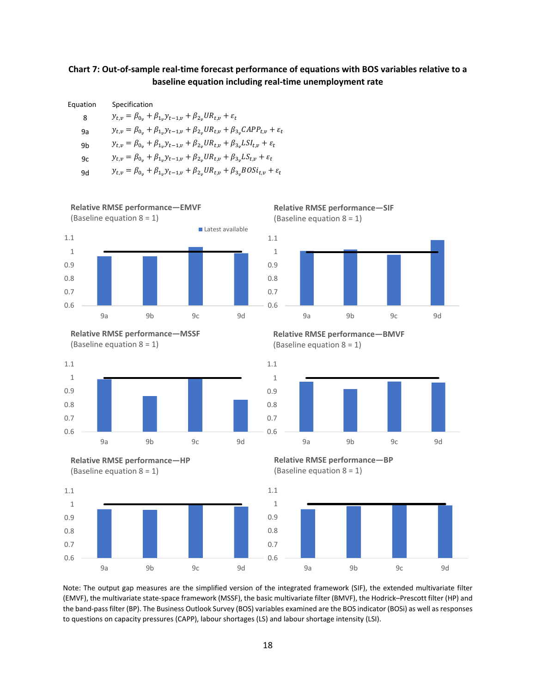#### **Chart 7: Out-of-sample real-time forecast performance of equations with BOS variables relative to a baseline equation including real-time unemployment rate**

| Equation | Specification                                                                                                 |
|----------|---------------------------------------------------------------------------------------------------------------|
| 8        | $y_{t,v} = \beta_{0v} + \beta_{1v} y_{t-1,v} + \beta_{2v} U R_{t,v} + \varepsilon_t$                          |
| 9a       | $y_{t,v} = \beta_{0v} + \beta_{1v} y_{t-1,v} + \beta_{2v} U R_{t,v} + \beta_{3v} CAPP_{t,v} + \varepsilon_t$  |
| 9b       | $y_{t,v} = \beta_{0v} + \beta_{1v} y_{t-1,v} + \beta_{2v} U R_{t,v} + \beta_{3v} L S I_{t,v} + \varepsilon_t$ |
| 9c       | $y_{t,v} = \beta_{0v} + \beta_{1v} y_{t-1,v} + \beta_{2v} U R_{t,v} + \beta_{3v} L S_{t,v} + \varepsilon_t$   |
| 9d       | $y_{t,v} = \beta_{0v} + \beta_{1v} y_{t-1,v} + \beta_{2v} U R_{t,v} + \beta_{3v} BOSi_{t,v} + \varepsilon_t$  |

0.6 0.7 0.8 0.9 1 1.1 9a 9b 9c 9d (Baseline equation 8 = 1) Latest available



**Relative RMSE performance—EMVF**







**Relative RMSE performance—SIF** (Baseline equation 8 = 1)



**Relative RMSE performance—BMVF** (Baseline equation 8 = 1)



**Relative RMSE performance—BP** (Baseline equation 8 = 1)



Note: The output gap measures are the simplified version of the integrated framework (SIF), the extended multivariate filter (EMVF), the multivariate state-space framework (MSSF), the basic multivariate filter (BMVF), the Hodrick–Prescott filter (HP) and the band-pass filter (BP). The Business Outlook Survey (BOS) variables examined are the BOS indicator (BOSi) as well as responses to questions on capacity pressures (CAPP), labour shortages (LS) and labour shortage intensity (LSI).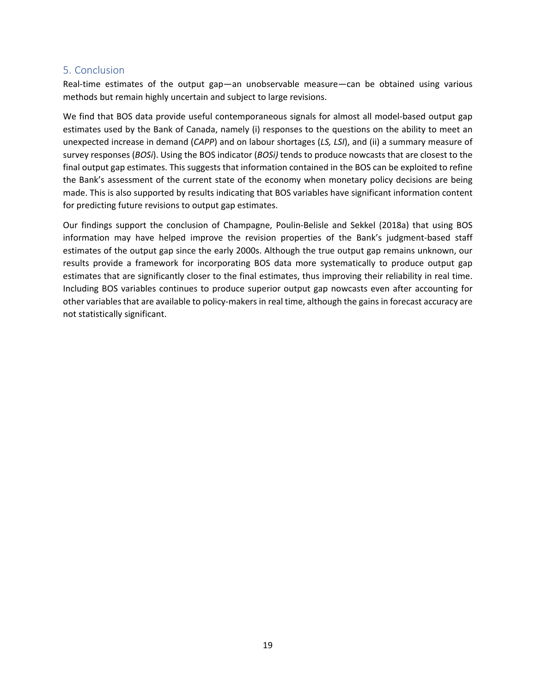# 5. Conclusion

Real-time estimates of the output gap—an unobservable measure—can be obtained using various methods but remain highly uncertain and subject to large revisions.

We find that BOS data provide useful contemporaneous signals for almost all model-based output gap estimates used by the Bank of Canada, namely (i) responses to the questions on the ability to meet an unexpected increase in demand (*CAPP*) and on labour shortages (*LS, LSI*), and (ii) a summary measure of survey responses (*BOSi*). Using the BOS indicator (*BOSi)* tends to produce nowcasts that are closest to the final output gap estimates. This suggests that information contained in the BOS can be exploited to refine the Bank's assessment of the current state of the economy when monetary policy decisions are being made. This is also supported by results indicating that BOS variables have significant information content for predicting future revisions to output gap estimates.

Our findings support the conclusion of Champagne, Poulin-Belisle and Sekkel (2018a) that using BOS information may have helped improve the revision properties of the Bank's judgment-based staff estimates of the output gap since the early 2000s. Although the true output gap remains unknown, our results provide a framework for incorporating BOS data more systematically to produce output gap estimates that are significantly closer to the final estimates, thus improving their reliability in real time. Including BOS variables continues to produce superior output gap nowcasts even after accounting for other variablesthat are available to policy-makers in real time, although the gains in forecast accuracy are not statistically significant.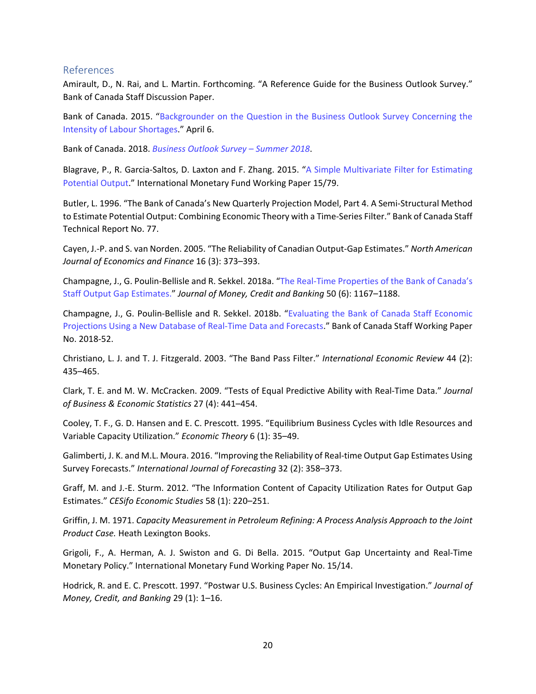#### References

Amirault, D., N. Rai, and L. Martin. Forthcoming. "A Reference Guide for the Business Outlook Survey." Bank of Canada Staff Discussion Paper.

Bank of Canada. 2015. ["Backgrounder on the Question in the Business Outlook Survey Concerning the](https://www.bankofcanada.ca/wp-content/uploads/2015/04/backgrounder-question-bos-intensity-labour-shortages.pdf)  [Intensity of Labour Shortages.](https://www.bankofcanada.ca/wp-content/uploads/2015/04/backgrounder-question-bos-intensity-labour-shortages.pdf)" April 6.

Bank of Canada. 2018. *[Business Outlook Survey –](https://www.bankofcanada.ca/2018/06/business-outlook-survey-summer-2018/) Summer 2018*.

Blagrave, P., R. Garcia-Saltos, D. Laxton and F. Zhang. 2015. ["A Simple Multivariate Filter for Estimating](https://www.imf.org/en/Publications/WP/Issues/2016/12/31/A-Simple-Multivariate-Filter-for-Estimating-Potential-Output-42852)  [Potential Output.](https://www.imf.org/en/Publications/WP/Issues/2016/12/31/A-Simple-Multivariate-Filter-for-Estimating-Potential-Output-42852)" International Monetary Fund Working Paper 15/79.

Butler, L. 1996. "The Bank of Canada's New Quarterly Projection Model, Part 4. A Semi-Structural Method to Estimate Potential Output: Combining Economic Theory with a Time-Series Filter." Bank of Canada Staff Technical Report No. 77.

Cayen, J.-P. and S. van Norden. 2005. "The Reliability of Canadian Output-Gap Estimates." *North American Journal of Economics and Finance* 16 (3): 373–393.

Champagne, J., G. Poulin-Bellisle and R. Sekkel. 2018a. ["The Real-Time Properties of the Bank of Canada's](https://onlinelibrary.wiley.com/doi/full/10.1111/jmcb.12493)  [Staff Output Gap Estimates.](https://onlinelibrary.wiley.com/doi/full/10.1111/jmcb.12493)" *Journal of Money, Credit and Banking* 50 (6): 1167–1188.

Champagne, J., G. Poulin-Bellisle and R. Sekkel. 2018b. ["Evaluating the Bank of Canada Staff Economic](https://www.bankofcanada.ca/wp-content/uploads/2018/10/swp2018-52.pdf)  [Projections Using a New Database of Real-Time Data and Forecasts.](https://www.bankofcanada.ca/wp-content/uploads/2018/10/swp2018-52.pdf)" Bank of Canada Staff Working Paper No. 2018-52.

Christiano, L. J. and T. J. Fitzgerald. 2003. "The Band Pass Filter." *International Economic Review* 44 (2): 435–465.

Clark, T. E. and M. W. McCracken. 2009. "Tests of Equal Predictive Ability with Real-Time Data." *Journal of Business & Economic Statistics* 27 (4): 441–454.

Cooley, T. F., G. D. Hansen and E. C. Prescott. 1995. "Equilibrium Business Cycles with Idle Resources and Variable Capacity Utilization." *Economic Theory* 6 (1): 35–49.

Galimberti, J. K. and M.L. Moura. 2016. "Improving the Reliability of Real-time Output Gap Estimates Using Survey Forecasts." *International Journal of Forecasting* 32 (2): 358–373.

Graff, M. and J.-E. Sturm. 2012. "The Information Content of Capacity Utilization Rates for Output Gap Estimates." *CESifo Economic Studies* 58 (1): 220–251.

Griffin, J. M. 1971. *Capacity Measurement in Petroleum Refining: A Process Analysis Approach to the Joint Product Case.* Heath Lexington Books.

Grigoli, F., A. Herman, A. J. Swiston and G. Di Bella. 2015. "Output Gap Uncertainty and Real-Time Monetary Policy." International Monetary Fund Working Paper No. 15/14.

Hodrick, R. and E. C. Prescott. 1997. "Postwar U.S. Business Cycles: An Empirical Investigation." *Journal of Money, Credit, and Banking* 29 (1): 1–16.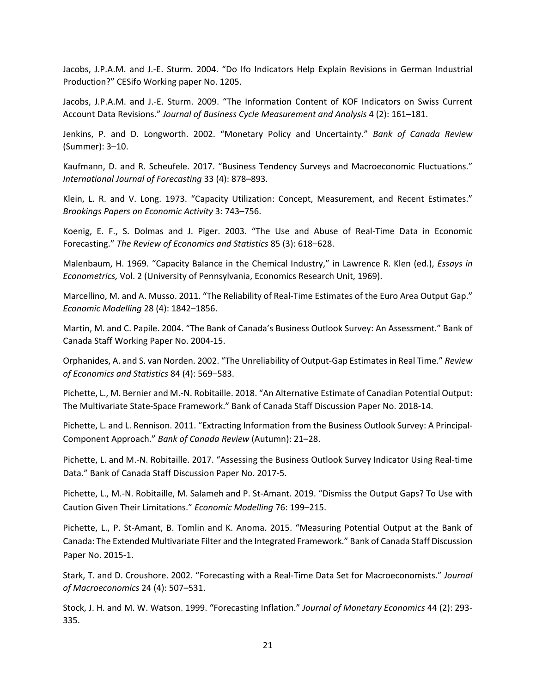Jacobs, J.P.A.M. and J.-E. Sturm. 2004. "Do Ifo Indicators Help Explain Revisions in German Industrial Production?" CESifo Working paper No. 1205.

Jacobs, J.P.A.M. and J.-E. Sturm. 2009. "The Information Content of KOF Indicators on Swiss Current Account Data Revisions." *Journal of Business Cycle Measurement and Analysis* 4 (2): 161–181.

Jenkins, P. and D. Longworth. 2002. "Monetary Policy and Uncertainty." *Bank of Canada Review* (Summer): 3–10.

Kaufmann, D. and R. Scheufele. 2017. "Business Tendency Surveys and Macroeconomic Fluctuations." *International Journal of Forecasting* 33 (4): 878–893.

Klein, L. R. and V. Long. 1973. "Capacity Utilization: Concept, Measurement, and Recent Estimates." *Brookings Papers on Economic Activity* 3: 743–756.

Koenig, E. F., S. Dolmas and J. Piger. 2003. "The Use and Abuse of Real-Time Data in Economic Forecasting." *The Review of Economics and Statistics* 85 (3): 618–628.

Malenbaum, H. 1969. "Capacity Balance in the Chemical Industry," in Lawrence R. Klen (ed.), *Essays in Econometrics,* Vol. 2 (University of Pennsylvania, Economics Research Unit, 1969).

Marcellino, M. and A. Musso. 2011. "The Reliability of Real-Time Estimates of the Euro Area Output Gap." *Economic Modelling* 28 (4): 1842–1856.

Martin, M. and C. Papile. 2004. "The Bank of Canada's Business Outlook Survey: An Assessment." Bank of Canada Staff Working Paper No. 2004-15.

Orphanides, A. and S. van Norden. 2002. "The Unreliability of Output-Gap Estimates in Real Time." *Review of Economics and Statistics* 84 (4): 569–583.

Pichette, L., M. Bernier and M.-N. Robitaille. 2018. "An Alternative Estimate of Canadian Potential Output: The Multivariate State-Space Framework." Bank of Canada Staff Discussion Paper No. 2018-14.

Pichette, L. and L. Rennison. 2011. "Extracting Information from the Business Outlook Survey: A Principal-Component Approach." *Bank of Canada Review* (Autumn): 21–28.

Pichette, L. and M.-N. Robitaille. 2017. "Assessing the Business Outlook Survey Indicator Using Real-time Data." Bank of Canada Staff Discussion Paper No. 2017-5.

Pichette, L., M.-N. Robitaille, M. Salameh and P. St-Amant. 2019. "Dismiss the Output Gaps? To Use with Caution Given Their Limitations." *Economic Modelling* 76: 199–215.

Pichette, L., P. St-Amant, B. Tomlin and K. Anoma. 2015. "Measuring Potential Output at the Bank of Canada: The Extended Multivariate Filter and the Integrated Framework." Bank of Canada Staff Discussion Paper No. 2015-1.

Stark, T. and D. Croushore. 2002. "Forecasting with a Real-Time Data Set for Macroeconomists." *Journal of Macroeconomics* 24 (4): 507–531.

Stock, J. H. and M. W. Watson. 1999. "Forecasting Inflation." *Journal of Monetary Economics* 44 (2): 293- 335.